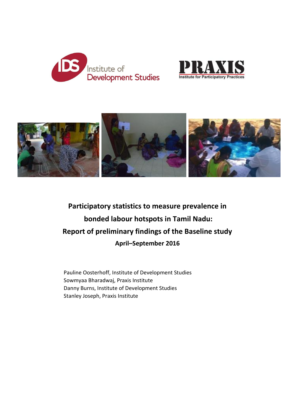





# **Participatory statistics to measure prevalence in bonded labour hotspots in Tamil Nadu: Report of preliminary findings of the Baseline study April–September 2016**

Pauline Oosterhoff, Institute of Development Studies Sowmyaa Bharadwaj, Praxis Institute Danny Burns, Institute of Development Studies Stanley Joseph, Praxis Institute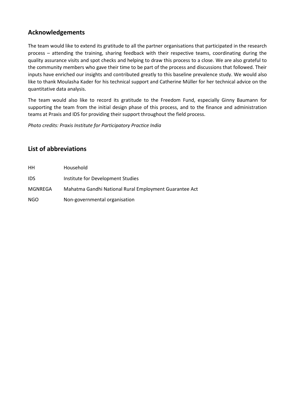# **Acknowledgements**

The team would like to extend its gratitude to all the partner organisations that participated in the research process – attending the training, sharing feedback with their respective teams, coordinating during the quality assurance visits and spot checks and helping to draw this process to a close. We are also grateful to the community members who gave their time to be part of the process and discussions that followed. Their inputs have enriched our insights and contributed greatly to this baseline prevalence study. We would also like to thank Moulasha Kader for his technical support and Catherine Müller for her technical advice on the quantitative data analysis.

The team would also like to record its gratitude to the Freedom Fund, especially Ginny Baumann for supporting the team from the initial design phase of this process, and to the finance and administration teams at Praxis and IDS for providing their support throughout the field process.

*Photo credits: Praxis Institute for Participatory Practice India*

# **List of abbreviations**

| HH         | Household                                              |
|------------|--------------------------------------------------------|
| <b>IDS</b> | Institute for Development Studies                      |
| MGNREGA    | Mahatma Gandhi National Rural Employment Guarantee Act |
| NGO        | Non-governmental organisation                          |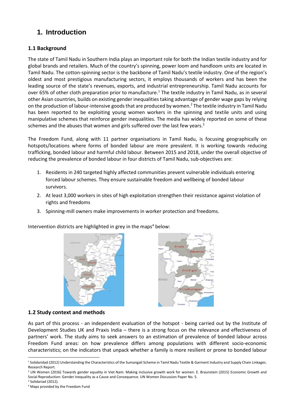# **1. Introduction**

## **1.1 Background**

The state of Tamil Nadu in Southern India plays an important role for both the Indian textile industry and for global brands and retailers. Much of the country's spinning, power loom and handloom units are located in Tamil Nadu. The cotton-spinning sector is the backbone of Tamil Nadu's textile industry. One of the region's oldest and most prestigious manufacturing sectors, it employs thousands of workers and has been the leading source of the state's revenues, exports, and industrial entrepreneurship. Tamil Nadu accounts for over 65% of other cloth preparation prior to manufacture.<sup>1</sup> The textile industry in Tamil Nadu, as in several other Asian countries, builds on existing gender inequalities taking advantage of gender wage gaps by relying on the production of labour-intensive goods that are produced by women.<sup>2</sup> The textile industry in Tamil Nadu has been reported to be exploiting young women workers in the spinning and textile units and using manipulative schemes that reinforce gender inequalities. The media has widely reported on some of these schemes and the abuses that women and girls suffered over the last few years.<sup>3</sup>

The Freedom Fund, along with 11 partner organisations in Tamil Nadu, is focusing geographically on hotspots/locations where forms of bonded labour are more prevalent. It is working towards reducing trafficking, bonded labour and harmful child labour. Between 2015 and 2018, under the overall objective of reducing the prevalence of bonded labour in four districts of Tamil Nadu, sub-objectives are:

- 1. Residents in 240 targeted highly affected communities prevent vulnerable individuals entering forced labour schemes. They ensure sustainable freedom and wellbeing of bonded labour survivors.
- 2. At least 3,000 workers in sites of high exploitation strengthen their resistance against violation of rights and freedoms
- 3. Spinning-mill owners make improvements in worker protection and freedoms.

Intervention districts are highlighted in grey in the maps<sup>4</sup> below:





#### **1.2 Study context and methods**

As part of this process - an independent evaluation of the hotspot - being carried out by the Institute of Development Studies UK and Praxis India – there is a strong focus on the relevance and effectiveness of partners' work. The study aims to seek answers to an estimation of prevalence of bonded labour across Freedom Fund areas: on how prevalence differs among populations with different socio-economic characteristics; on the indicators that unpack whether a family is more resilient or prone to bonded labour

<sup>-</sup><sup>1</sup> Solidaridad (2012) Understanding the Characteristics of the Sumangali Scheme in Tamil Nadu Textile & Garment Industry and Supply Chain Linkages. Research Report.

<sup>&</sup>lt;sup>2</sup> UN Women (2016) Towards gender equality in Viet Nam: Making inclusive growth work for women. E. Braunstein (2015) Economic Growth and Social Reproduction: Gender Inequality as a Cause and Consequence. UN Women Discussion Paper No. 5.

<sup>&</sup>lt;sup>3</sup> Solidariad (2012).

<sup>4</sup> Maps provided by the Freedom Fund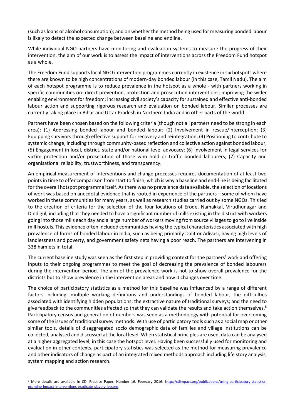(such as loans or alcohol consumption); and on whether the method being used for measuring bonded labour is likely to detect the expected change between baseline and endline.

While individual NGO partners have monitoring and evaluation systems to measure the progress of their intervention, the aim of our work is to assess the impact of interventions across the Freedom Fund hotspot as a whole.

The Freedom Fund supports local NGO intervention programmes currently in existence in six hotspots where there are known to be high concentrations of modern-day bonded labour (in this case, Tamil Nadu). The aim of each hotspot programme is to reduce prevalence in the hotspot as a whole - with partners working in specific communities on: direct prevention, protection and prosecution interventions; improving the wider enabling environment for freedom; increasing civil society's capacity for sustained and effective anti-bonded labour action and supporting rigorous research and evaluation on bonded labour. Similar processes are currently taking place in Bihar and Uttar Pradesh in Northern India and in other parts of the world.

Partners have been chosen based on the following criteria (though not all partners need to be strong in each area): (1) Addressing bonded labour and bonded labour; (2) Involvement in rescue/interception; (3) Equipping survivors through effective support for recovery and reintegration; (4) Positioning to contribute to systemic change, including through community-based reflection and collective action against bonded labour; (5) Engagement in local, district, state and/or national level advocacy; (6) Involvement in legal services for victim protection and/or prosecution of those who hold or traffic bonded labourers; (7) Capacity and organisational reliability, trustworthiness, and transparency.

An empirical measurement of interventions and change processes requires documentation of at least two points in time to offer comparison from start to finish, which is why a baseline and end-line is being facilitated for the overall hotspot programme itself. As there was no prevalence data available, the selection of locations of work was based on anecdotal evidence that is rooted in experience of the partners – some of whom have worked in these communities for many years, as well as research studies carried out by some NGOs. This led to the creation of criteria for the selection of the four locations of Erode, Namakkal, Virudhunagar and Dindigul, including that they needed to have a significant number of mills existing in the district with workers going into those mills each day and a large number of workers moving from source villages to go to live inside mill hostels. This evidence often included communities having the typical characteristics associated with high prevalence of forms of bonded labour in India, such as being primarily Dalit or Adivasi, having high levels of landlessness and poverty, and government safety nets having a poor reach. The partners are intervening in 338 hamlets in total.

The current baseline study was seen as the first step in providing context for the partners' work and offering inputs to their ongoing programmes to meet the goal of decreasing the prevalence of bonded labourers during the intervention period. The aim of the prevalence work is not to show overall prevalence for the districts but to show prevalence in the intervention areas and how it changes over time.

The choice of participatory statistics as a method for this baseline was influenced by a range of different factors including: multiple working definitions and understandings of bonded labour; the difficulties associated with identifying hidden populations; the extractive nature of traditional surveys; and the need to give feedback to the communities affected so that they can validate the results and take action themselves.<sup>5</sup> Participatory census and generation of numbers was seen as a methodology with potential for overcoming some of the issues of traditional survey methods. With use of participatory tools such as a social map or other similar tools, details of disaggregated socio demographic data of families and village institutions can be collected, analysed and discussed at the local level. When statistical principles are used, data can be analysed at a higher aggregated level, in this case the hotspot level. Having been successfully used for monitoring and evaluation in other contexts, participatory statistics was selected as the method for measuring prevalence and other indicators of change as part of an integrated mixed methods approach including life story analysis, system mapping and action research.

-

<sup>&</sup>lt;sup>5</sup> More details are available in CDI Practice Paper, Number 16, February 2016: [http://cdimpact.org/publications/using-participatory-statistics](http://cdimpact.org/publications/using-participatory-statistics-examine-impact-interventions-eradicate-slavery-lessons)[examine-impact-interventions-eradicate-slavery-lessons](http://cdimpact.org/publications/using-participatory-statistics-examine-impact-interventions-eradicate-slavery-lessons)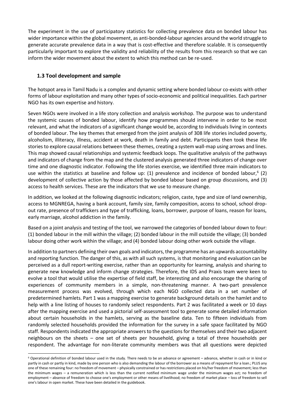The experiment in the use of participatory statistics for collecting prevalence data on bonded labour has wider importance within the global movement, as anti-bonded-labour agencies around the world struggle to generate accurate prevalence data in a way that is cost-effective and therefore scalable. It is consequently particularly important to explore the validity and reliability of the results from this research so that we can inform the wider movement about the extent to which this method can be re-used.

## **1.3 Tool development and sample**

-

The hotspot area in Tamil Nadu is a complex and dynamic setting where bonded labour co-exists with other forms of labour exploitation and many other types of socio-economic and political inequalities. Each partner NGO has its own expertise and history.

Seven NGOs were involved in a life story collection and analysis workshop. The purpose was to understand the systemic causes of bonded labour, identify how programmes should intervene in order to be most relevant, and what the indicators of a significant change would be, according to individuals living in contexts of bonded labour. The key themes that emerged from the joint analysis of 308 life stories included poverty, alcoholism, illiteracy, illness, accident at work, death in family and debt. Participants then took these life stories to explore causal relations between these themes, creating a system wall-map using arrows and lines. This map showed causal relationships and systemic feedback loops. The qualitative analysis of the pathways and indicators of change from the map and the clustered analysis generated three indicators of change over time and one diagnostic indicator. Following the life stories exercise, we identified three main indicators to use within the statistics at baseline and follow up:  $(1)$  prevalence and incidence of bonded labour,<sup>6</sup> (2) development of collective action by those affected by bonded labour based on group discussions, and (3) access to health services. These are the indicators that we use to measure change.

In addition, we looked at the following diagnostic indicators; religion, caste, type and size of land ownership, access to MGNREGA, having a bank account, family size, family composition, access to school, school dropout rate, presence of traffickers and type of trafficking, loans, borrower, purpose of loans, reason for loans, early marriage, alcohol addiction in the family.

Based on a joint analysis and testing of the tool, we narrowed the categories of bonded labour down to four: (1) bonded labour in the mill within the village; (2) bonded labour in the mill outside the village; (3) bonded labour doing other work within the village; and (4) bonded labour doing other work outside the village.

In addition to partners defining their own goals and indicators, the programme has an upwards accountability and reporting function. The danger of this, as with all such systems, is that monitoring and evaluation can be perceived as a dull report-writing exercise, rather than an opportunity for learning, analysis and sharing to generate new knowledge and inform change strategies. Therefore, the IDS and Praxis team were keen to evolve a tool that would utilise the expertise of field staff, be interesting and also encourage the sharing of experiences of community members in a simple, non-threatening manner. A two-part prevalence measurement process was evolved, through which each NGO collected data in a set number of predetermined hamlets. Part 1 was a mapping exercise to generate background details on the hamlet and to help with a line listing of houses to randomly select respondents. Part 2 was facilitated a week or 10 days after the mapping exercise and used a pictorial self-assessment tool to generate some detailed information about certain households in the hamlets, serving as the baseline data. Ten to fifteen individuals from randomly selected households provided the information for the survey in a safe space facilitated by NGO staff. Respondents indicated the appropriate answers to the questions for themselves and their two adjacent neighbours on the sheets – one set of sheets per household, giving a total of three households per respondent. The advantage for non-literate community members was that all questions were depicted

<sup>6</sup> Operational definition of bonded labour used in the study. There needs to be an advance or agreement – advance, whether in cash or in kind or partly in cash or partly in kind, made by one person who is also demanding the labour of the borrower as a means of repayment for a loan.; PLUS any one of these remaining four: no freedom of movement – physically constrained or has restrictions placed on his/her freedom of movement; less than the minimum wages – a remuneration which is less than the current notified minimum wage under the minimum wages act; no freedom of employment – absence of freedom to choose one's employment or other means of livelihood; no freedom of market place – loss of freedom to sell one's labour in open market. These have been detailed in the guidebook.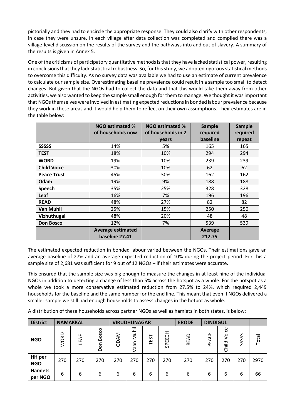pictorially and they had to encircle the appropriate response. They could also clarify with other respondents, in case they were unsure. In each village after data collection was completed and compiled there was a village-level discussion on the results of the survey and the pathways into and out of slavery. A summary of the results is given in Annex 5.

One of the criticisms of participatory quantitative methods is that they have lacked statistical power, resulting in conclusions that they lack statistical robustness. So, for this study, we adopted rigorous statistical methods to overcome this difficulty. As no survey data was available we had to use an estimate of current prevalence to calculate our sample size. Overestimating baseline prevalence could result in a sample too small to detect changes. But given that the NGOs had to collect the data and that this would take them away from other activities, we also wanted to keep the sample small enough for them to manage. We thought it was important that NGOs themselves were involved in estimating expected reductions in bonded labour prevalence because they work in these areas and it would help them to reflect on their own assumptions. Their estimates are in the table below:

|                    | NGO estimated %<br>of households now | <b>NGO estimated %</b><br>of households in 2 | Sample<br>required | <b>Sample</b><br>required |
|--------------------|--------------------------------------|----------------------------------------------|--------------------|---------------------------|
|                    |                                      | years                                        | baseline           | repeat                    |
| <b>SSSSS</b>       | 14%                                  | 5%                                           | 165                | 165                       |
| <b>TEST</b>        | 18%                                  | 10%                                          | 294                | 294                       |
| <b>WORD</b>        | 19%                                  | 10%                                          | 239                | 239                       |
| <b>Child Voice</b> | 30%                                  | 10%                                          | 62                 | 62                        |
| <b>Peace Trust</b> | 45%                                  | 30%                                          | 162                | 162                       |
| Odam               | 19%                                  | 9%                                           | 188                | 188                       |
| Speech             | 35%                                  | 25%                                          | 328                | 328                       |
| Leaf               | 16%                                  | 7%                                           | 196                | 196                       |
| <b>READ</b>        | 48%                                  | 27%                                          | 82                 | 82                        |
| Van Muhil          | 25%                                  | 15%                                          | 250                | 250                       |
| Vizhuthugal        | 48%                                  | 20%                                          | 48                 | 48                        |
| <b>Don Bosco</b>   | 12%                                  | 7%                                           | 539                | 539                       |
|                    | <b>Average estimated</b>             |                                              | Average            |                           |
|                    | baseline 27.41                       |                                              | 212.75             |                           |

The estimated expected reduction in bonded labour varied between the NGOs. Their estimations gave an average baseline of 27% and an average expected reduction of 10% during the project period. For this a sample size of 2,681 was sufficient for 9 out of 12 NGOs – if their estimates were accurate.

This ensured that the sample size was big enough to measure the changes in at least nine of the individual NGOs in addition to detecting a change of less than 5% across the hotspot as a whole. For the hotspot as a whole we took a more conservative estimated reduction from 27.5% to 24%, which required 2,449 households for the baseline and the same number for the end line. This meant that even if NGOs delivered a smaller sample we still had enough households to assess changes in the hotpot as whole.

A distribution of these households across partner NGOs as well as hamlets in both states, is below:

| <b>District</b>             |             | <b>NAMAKKAL</b><br><b>VIRUDHUNAGAR</b> |              |             | <b>ERODE</b>              | <b>DINDIGUL</b> |               |             |          |                |       |       |
|-----------------------------|-------------|----------------------------------------|--------------|-------------|---------------------------|-----------------|---------------|-------------|----------|----------------|-------|-------|
| <b>NGO</b>                  | <b>WORD</b> | LEAF                                   | Bosco<br>Don | <b>ODAM</b> | Muhil<br>nee <sub>)</sub> | TEST            | 꼽<br>ш<br>င္တ | <b>READ</b> | ACE<br>노 | Voice<br>Child | SSSSS | Total |
| <b>HH</b> per<br><b>NGO</b> | 270         | 270                                    | 270          | 270         | 270                       | 270             | 270           | 270         | 270      | 270            | 270   | 2970  |
| <b>Hamlets</b><br>per NGO   | 6           | 6                                      | 6            | 6           | 6                         | 6               | 6             | 6           | 6        | 6              | 6     | 66    |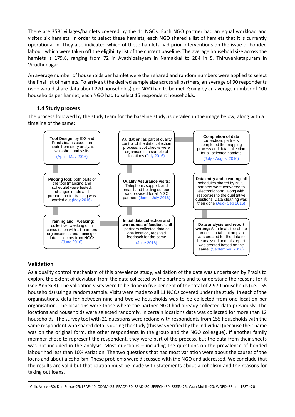There are 358<sup>7</sup> villages/hamlets covered by the 11 NGOs. Each NGO partner had an equal workload and visited six hamlets. In order to select these hamlets, each NGO shared a list of hamlets that it is currently operational in. They also indicated which of these hamlets had prior interventions on the issue of bonded labour, which were taken off the eligibility list of the current baseline. The average household size across the hamlets is 179.8, ranging from 72 in Avathipalayam in Namakkal to 284 in S. Thiruvenkatapuram in Virudhunagar.

An average number of households per hamlet were then shared and random numbers were applied to select the final list of hamlets. To arrive at the desired sample size across all partners, an average of 90 respondents (who would share data about 270 households) per NGO had to be met. Going by an average number of 100 households per hamlet, each NGO had to select 15 respondent households.

# **1.4 Study process**

The process followed by the study team for the baseline study, is detailed in the image below, along with a timeline of the same:



# **Validation**

-

As a quality control mechanism of this prevalence study, validation of the data was undertaken by Praxis to explore the extent of deviation from the data collected by the partners and to understand the reasons for it (see Annex 3). The validation visits were to be done in five per cent of the total of 2,970 households (i.e. 155 households) using a random sample. Visits were made to all 11 NGOs covered under the study. In each of the organisations, data for between nine and twelve households was to be collected from one location per organisation. The locations were those where the partner NGO had already collected data previously. The locations and households were selected randomly. In certain locations data was collected for more than 12 households. The survey tool with 21 questions were redone with respondents from 155 households with the same respondent who shared details during the study (this was verified by the individual (because their name was on the original form, the other respondents in the group and the NGO colleague). If another family member chose to represent the respondent, they were part of the process, but the data from their sheets was not included in the analysis. Most questions – including the questions on the prevalence of bonded labour had less than 10% variation. The two questions that had most variation were about the causes of the loans and about alcoholism. These problems were discussed with the NGO and addressed. We conclude that the results are valid but that caution must be made with statements about alcoholism and the reasons for taking out loans.

<sup>7</sup> Child Voice =30; Don Bosco=25; LEAF=40; ODAM=25; PEACE=30; READ=30; SPEECH=30; SSSSS=25; Vaan Muhil =20; WORD=83 and TEST =20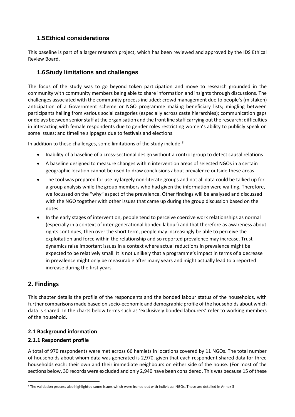# **1.5Ethical considerations**

This baseline is part of a larger research project, which has been reviewed and approved by the IDS Ethical Review Board.

# **1.6Study limitations and challenges**

The focus of the study was to go beyond token participation and move to research grounded in the community with community members being able to share information and insights through discussions. The challenges associated with the community process included: crowd management due to people's (mistaken) anticipation of a Government scheme or NGO programme making beneficiary lists; mingling between participants hailing from various social categories (especially across caste hierarchies); communication gaps or delays between senior staff at the organisation and the front line staff carrying out the research; difficulties in interacting with female respondents due to gender roles restricting women's ability to publicly speak on some issues; and timeline slippages due to festivals and elections.

In addition to these challenges, some limitations of the study include:<sup>8</sup>

- Inability of a baseline of a cross-sectional design without a control group to detect causal relations
- A baseline designed to measure changes within intervention areas of selected NGOs in a certain geographic location cannot be used to draw conclusions about prevalence outside these areas
- The tool was prepared for use by largely non-literate groups and not all data could be tallied up for a group analysis while the group members who had given the information were waiting. Therefore, we focussed on the "why" aspect of the prevalence. Other findings will be analysed and discussed with the NGO together with other issues that came up during the group discussion based on the notes
- In the early stages of intervention, people tend to perceive coercive work relationships as normal (especially in a context of inter-generational bonded labour) and that therefore as awareness about rights continues, then over the short term, people may increasingly be able to perceive the exploitation and force within the relationship and so reported prevalence may increase. Trust dynamics raise important issues in a context where actual reductions in prevalence might be expected to be relatively small. It is not unlikely that a programme's impact in terms of a decrease in prevalence might only be measurable after many years and might actually lead to a reported increase during the first years.

# **2. Findings**

-

This chapter details the profile of the respondents and the bonded labour status of the households, with further comparisons made based on socio-economic and demographic profile of the households about which data is shared. In the charts below terms such as 'exclusively bonded labourers' refer to working members of the household.

## **2.1 Background information**

## **2.1.1 Respondent profile**

A total of 970 respondents were met across 66 hamlets in locations covered by 11 NGOs. The total number of households about whom data was generated is 2,970, given that each respondent shared data for three households each: their own and their immediate neighbours on either side of the house. (For most of the sections below, 30 records were excluded and only 2,940 have been considered. This was because 15 of these

<sup>8</sup> The validation process also highlighted some issues which were ironed out with individual NGOs. These are detailed in Annex 3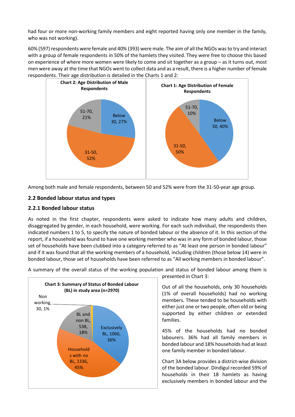had four or more non-working family members and eight reported having only one member in the family, who was not working).

60% (597) respondents were female and 40% (393) were male. The aim of all the NGOs was to try and interact with a group of female respondents in 50% of the hamlets they visited. They were free to choose this based on experience of where more women were likely to come and sit together as a group – as it turns out, most men were away at the time that NGOs went to collect data and as a result, there is a higher number of female respondents. Their age distribution is detailed in the Charts 1 and 2:



Among both male and female respondents, between 50 and 52% were from the 31-50-year age group.

## **2.2 Bonded labour status and types**

## **2.2.1 Bonded labour status**

As noted in the first chapter, respondents were asked to indicate how many adults and children, disaggregated by gender, in each household, were working. For each such individual, the respondents then indicated numbers 1 to 5, to specify the nature of bonded labour or the absence of it. In this section of the report, if a household was found to have one working member who was in any form of bonded labour, those set of households have been clubbed into a category referred to as "At least one person in bonded labour" and if it was found that all the working members of a household, including children (those below 14) were in bonded labour, those set of households have been referred to as "All working members in bonded labour".



A summary of the overall status of the working population and status of bonded labour among them is

presented in Chart 3:

Out of all the households, only 30 households (1% of overall households) had no working members. These tended to be households with either just one or two people, often old or being supported by either children or extended families.

45% of the households had no bonded labourers. 36% had all family members in bonded labour and 18% households had at least one family member in bonded labour.

Chart 3A below provides a district-wise division of the bonded labour. Dindigul recorded 59% of households in their 18 hamlets as having exclusively members in bonded labour and the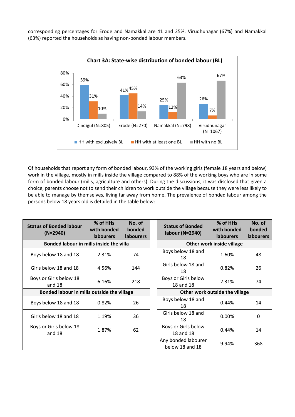corresponding percentages for Erode and Namakkal are 41 and 25%. Virudhunagar (67%) and Namakkal (63%) reported the households as having non-bonded labour members.



Of households that report any form of bonded labour, 93% of the working girls (female 18 years and below) work in the village, mostly in mills inside the village compared to 88% of the working boys who are in some form of bonded labour (mills, agriculture and others). During the discussions, it was disclosed that given a choice, parents choose not to send their children to work outside the village because they were less likely to be able to manage by themselves, living far away from home. The prevalence of bonded labour among the persons below 18 years old is detailed in the table below:

| <b>Status of Bonded labour</b><br>$(N=2940)$ | % of HHs<br>with bonded<br><b>labourers</b> | No. of<br>bonded<br><b>labourers</b> |  | <b>Status of Bonded</b><br>labour (N=2940) | % of HHs<br>with bonded<br><b>labourers</b> | No. of<br>bonded<br><b>labourers</b> |  |
|----------------------------------------------|---------------------------------------------|--------------------------------------|--|--------------------------------------------|---------------------------------------------|--------------------------------------|--|
| Bonded labour in mills inside the villa      |                                             |                                      |  | Other work inside village                  |                                             |                                      |  |
| Boys below 18 and 18                         | 2.31%                                       | 74                                   |  | Boys below 18 and<br>18                    | 1.60%                                       | 48                                   |  |
| Girls below 18 and 18                        | 4.56%                                       | 144                                  |  | Girls below 18 and<br>18                   | 0.82%                                       | 26                                   |  |
| Boys or Girls below 18<br>and $18$           | 6.16%                                       | 218                                  |  | Boys or Girls below<br>18 and 18           | 2.31%                                       | 74                                   |  |
| Bonded labour in mills outside the village   |                                             |                                      |  | Other work outside the village             |                                             |                                      |  |
| Boys below 18 and 18                         | 0.82%                                       | 26                                   |  | Boys below 18 and<br>18                    | 0.44%                                       | 14                                   |  |
| Girls below 18 and 18                        | 1.19%                                       | 36                                   |  | Girls below 18 and<br>18                   | $0.00\%$                                    | 0                                    |  |
| Boys or Girls below 18<br>and 18             | 1.87%                                       | 62                                   |  | Boys or Girls below<br>18 and 18           | 0.44%                                       | 14                                   |  |
|                                              |                                             |                                      |  | Any bonded labourer<br>below 18 and 18     | 9.94%                                       | 368                                  |  |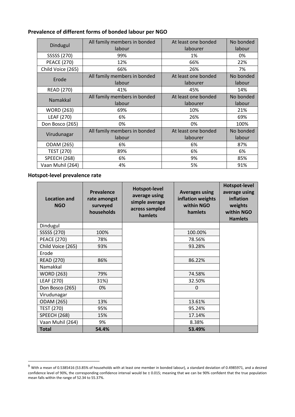# **Prevalence of different forms of bonded labour per NGO**

| Dindugul            | All family members in bonded<br>labour | At least one bonded<br>labourer | No bonded<br>labour |
|---------------------|----------------------------------------|---------------------------------|---------------------|
| SSSSS (270)         | 99%                                    | 1%                              | 0%                  |
| <b>PEACE (270)</b>  | 12%                                    | 66%                             | 22%                 |
| Child Voice (265)   | 66%                                    | 26%                             | 7%                  |
| Erode               | All family members in bonded<br>labour | At least one bonded<br>labourer | No bonded<br>labour |
| <b>READ (270)</b>   | 41%                                    | 45%                             | 14%                 |
| Namakkal            | All family members in bonded<br>labour | At least one bonded<br>labourer | No bonded<br>labour |
| <b>WORD (263)</b>   | 69%                                    | 10%                             | 21%                 |
| LEAF (270)          | 6%                                     | 26%                             | 69%                 |
| Don Bosco (265)     | 0%                                     | 0%                              | 100%                |
| Virudunagar         | All family members in bonded<br>labour | At least one bonded<br>labourer | No bonded<br>labour |
| ODAM (265)          | 6%                                     | 6%                              | 87%                 |
| <b>TEST (270)</b>   | 89%                                    | 6%                              | 6%                  |
| <b>SPEECH (268)</b> | 6%                                     | 9%                              | 85%                 |
| Vaan Muhil (264)    | 4%                                     | 5%                              | 91%                 |

**Hotspot-level prevalence rate** 

-

| <b>Location and</b><br><b>NGO</b> | <b>Prevalence</b><br>rate amongst<br>surveyed<br>households | <b>Hotspot-level</b><br>average using<br>simple average<br>across sampled<br>hamlets | <b>Averages using</b><br>inflation weights<br>within NGO<br>hamlets | Hotspot-level<br>average using<br>inflation<br>weights<br>within NGO<br><b>Hamlets</b> |
|-----------------------------------|-------------------------------------------------------------|--------------------------------------------------------------------------------------|---------------------------------------------------------------------|----------------------------------------------------------------------------------------|
| Dindugul                          |                                                             |                                                                                      |                                                                     |                                                                                        |
| SSSSS (270)                       | 100%                                                        |                                                                                      | 100.00%                                                             |                                                                                        |
| <b>PEACE (270)</b>                | 78%                                                         |                                                                                      | 78.56%                                                              |                                                                                        |
| Child Voice (265)                 | 93%                                                         |                                                                                      | 93.28%                                                              |                                                                                        |
| Erode                             |                                                             |                                                                                      |                                                                     |                                                                                        |
| <b>READ (270)</b>                 | 86%                                                         |                                                                                      | 86.22%                                                              |                                                                                        |
| Namakkal                          |                                                             |                                                                                      |                                                                     |                                                                                        |
| <b>WORD (263)</b>                 | 79%                                                         |                                                                                      | 74.58%                                                              |                                                                                        |
| LEAF (270)                        | 31%)                                                        |                                                                                      | 32.50%                                                              |                                                                                        |
| Don Bosco (265)                   | 0%                                                          |                                                                                      | $\Omega$                                                            |                                                                                        |
| Virudunagar                       |                                                             |                                                                                      |                                                                     |                                                                                        |
| ODAM (265)                        | 13%                                                         |                                                                                      | 13.61%                                                              |                                                                                        |
| <b>TEST (270)</b>                 | 95%                                                         |                                                                                      | 95.24%                                                              |                                                                                        |
| <b>SPEECH (268)</b>               | 15%                                                         |                                                                                      | 17.14%                                                              |                                                                                        |
| Vaan Muhil (264)                  | 9%                                                          |                                                                                      | 8.38%                                                               |                                                                                        |
| <b>Total</b>                      | 54.4%                                                       |                                                                                      | 53.49%                                                              |                                                                                        |

 $9$  With a mean of 0.5385416 (53.85% of households with at least one member in bonded labour), a standard deviation of 0.4985971, and a desired confidence level of 90%, the corresponding confidence interval would be ± 0.015; meaning that we can be 90% confident that the true population mean falls within the range of 52.34 to 55.37%.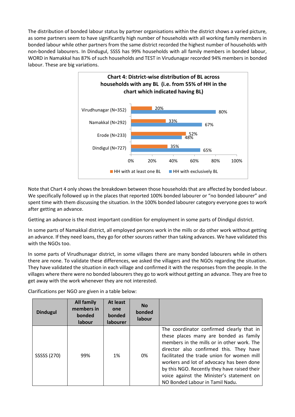The distribution of bonded labour status by partner organisations within the district shows a varied picture, as some partners seem to have significantly high number of households with all working family members in bonded labour while other partners from the same district recorded the highest number of households with non-bonded labourers. In Dindugul, SSSS has 99% households with all family members in bonded labour, WORD in Namakkal has 87% of such households and TEST in Virudunagar recorded 94% members in bonded labour. These are big variations.



Note that Chart 4 only shows the breakdown between those households that are affected by bonded labour. We specifically followed up in the places that reported 100% bonded labourer or "no bonded labourer" and spent time with them discussing the situation. In the 100% bonded labourer category everyone goes to work after getting an advance.

Getting an advance is the most important condition for employment in some parts of Dindigul district.

In some parts of Namakkal district, all employed persons work in the mills or do other work without getting an advance. If they need loans, they go for other sources rather than taking advances. We have validated this with the NGOs too.

In some parts of Virudhunagar district, in some villages there are many bonded labourers while in others there are none. To validate these differences, we asked the villagers and the NGOs regarding the situation. They have validated the situation in each village and confirmed it with the responses from the people. In the villages where there were no bonded labourers they go to work without getting an advance. They are free to get away with the work whenever they are not interested.

| <b>Dindugul</b> | <b>All family</b><br>members in<br>bonded<br><b>labour</b> | At least<br>one<br>bonded<br><b>labourer</b> | <b>No</b><br>bonded<br>labour |                                                                                                                                                                                                                                                                                                                                                                                                         |
|-----------------|------------------------------------------------------------|----------------------------------------------|-------------------------------|---------------------------------------------------------------------------------------------------------------------------------------------------------------------------------------------------------------------------------------------------------------------------------------------------------------------------------------------------------------------------------------------------------|
| SSSSS (270)     | 99%                                                        | 1%                                           | 0%                            | The coordinator confirmed clearly that in<br>these places many are bonded as family<br>members in the mills or in other work. The<br>director also confirmed this. They have<br>facilitated the trade union for women mill<br>workers and lot of advocacy has been done<br>by this NGO. Recently they have raised their<br>voice against the Minister's statement on<br>NO Bonded Labour in Tamil Nadu. |

Clarifications per NGO are given in a table below: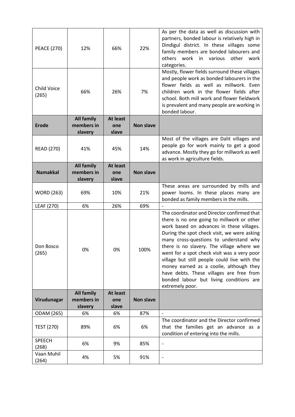| <b>PEACE (270)</b>          | 12%                                        | 66%                             | 22%              | As per the data as well as discussion with<br>partners, bonded labour is relatively high in<br>Dindigul district. In these villages some<br>family members are bonded labourers and<br>others<br>work in<br>other<br>various<br>work<br>categories.                                                                                                                                                                                                                                                                              |
|-----------------------------|--------------------------------------------|---------------------------------|------------------|----------------------------------------------------------------------------------------------------------------------------------------------------------------------------------------------------------------------------------------------------------------------------------------------------------------------------------------------------------------------------------------------------------------------------------------------------------------------------------------------------------------------------------|
| <b>Child Voice</b><br>(265) | 66%                                        | 26%                             | 7%               | Mostly, flower fields surround these villages<br>and people work as bonded labourers in the<br>flower fields as well as millwork. Even<br>children work in the flower fields after<br>school. Both mill work and flower fieldwork<br>is prevalent and many people are working in<br>bonded labour.                                                                                                                                                                                                                               |
| <b>Erode</b>                | <b>All family</b><br>members in<br>slavery | <b>At least</b><br>one<br>slave | <b>Non slave</b> |                                                                                                                                                                                                                                                                                                                                                                                                                                                                                                                                  |
| <b>READ (270)</b>           | 41%                                        | 45%                             | 14%              | Most of the villages are Dalit villages and<br>people go for work mainly to get a good<br>advance. Mostly they go for millwork as well<br>as work in agriculture fields.                                                                                                                                                                                                                                                                                                                                                         |
| <b>Namakkal</b>             | <b>All family</b><br>members in<br>slavery | <b>At least</b><br>one<br>slave | <b>Non slave</b> |                                                                                                                                                                                                                                                                                                                                                                                                                                                                                                                                  |
| <b>WORD (263)</b>           | 69%                                        | 10%                             | 21%              | These areas are surrounded by mills and<br>power looms. In these places many are<br>bonded as family members in the mills.                                                                                                                                                                                                                                                                                                                                                                                                       |
| LEAF (270)                  | 6%                                         | 26%                             | 69%              |                                                                                                                                                                                                                                                                                                                                                                                                                                                                                                                                  |
| Don Bosco<br>(265)          | 0%                                         | 0%                              | 100%             | The coordinator and Director confirmed that<br>there is no one going to millwork or other<br>work based on advances in these villages.<br>During the spot check visit, we were asking<br>many cross-questions to understand why<br>there is no slavery. The village where we<br>went for a spot check visit was a very poor<br>village but still people could live with the<br>money earned as a coolie, although they<br>have debts. These villages are free from<br>bonded labour but living conditions are<br>extremely poor. |
| Virudunagar                 | <b>All family</b><br>members in<br>slavery | At least<br>one<br>slave        | <b>Non slave</b> |                                                                                                                                                                                                                                                                                                                                                                                                                                                                                                                                  |
| ODAM (265)                  | 6%                                         | 6%                              | 87%              |                                                                                                                                                                                                                                                                                                                                                                                                                                                                                                                                  |
| <b>TEST (270)</b>           | 89%                                        | 6%                              | 6%               | The coordinator and the Director confirmed<br>that the families get an advance as a<br>condition of entering into the mills.                                                                                                                                                                                                                                                                                                                                                                                                     |
| <b>SPEECH</b><br>(268)      | 6%                                         | 9%                              | 85%              | $\blacksquare$                                                                                                                                                                                                                                                                                                                                                                                                                                                                                                                   |
| Vaan Muhil<br>(264)         | 4%                                         | 5%                              | 91%              | $\qquad \qquad -$                                                                                                                                                                                                                                                                                                                                                                                                                                                                                                                |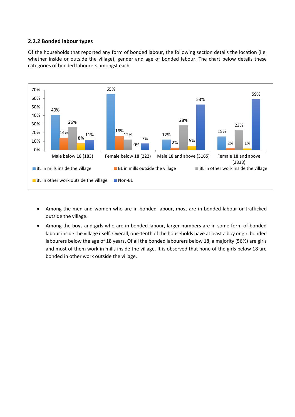#### **2.2.2 Bonded labour types**

Of the households that reported any form of bonded labour, the following section details the location (i.e. whether inside or outside the village), gender and age of bonded labour. The chart below details these categories of bonded labourers amongst each.



- Among the men and women who are in bonded labour, most are in bonded labour or trafficked outside the village.
- Among the boys and girls who are in bonded labour, larger numbers are in some form of bonded labour inside the village itself. Overall, one-tenth of the households have at least a boy or girl bonded labourers below the age of 18 years. Of all the bonded labourers below 18, a majority (56%) are girls and most of them work in mills inside the village. It is observed that none of the girls below 18 are bonded in other work outside the village.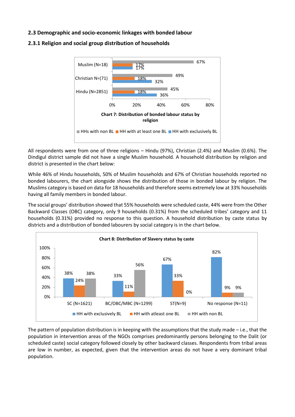#### **2.3 Demographic and socio-economic linkages with bonded labour**





All respondents were from one of three religions – Hindu (97%), Christian (2.4%) and Muslim (0.6%). The Dindigul district sample did not have a single Muslim household. A household distribution by religion and district is presented in the chart below:

While 46% of Hindu households, 50% of Muslim households and 67% of Christian households reported no bonded labourers, the chart alongside shows the distribution of those in bonded labour by religion. The Muslims category is based on data for 18 households and therefore seems extremely low at 33% households having all family members in bonded labour.

The social groups' distribution showed that 55% households were scheduled caste, 44% were from the Other Backward Classes (OBC) category, only 9 households (0.31%) from the scheduled tribes' category and 11 households (0.31%) provided no response to this question. A household distribution by caste status by districts and a distribution of bonded labourers by social category is in the chart below.



The pattern of population distribution is in keeping with the assumptions that the study made – i.e., that the population in intervention areas of the NGOs comprises predominantly persons belonging to the Dalit (or scheduled caste) social category followed closely by other backward classes. Respondents from tribal areas are low in number, as expected, given that the intervention areas do not have a very dominant tribal population.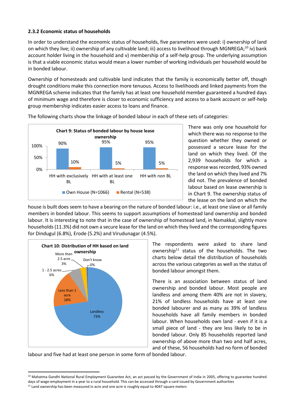#### **2.3.2 Economic status of households**

In order to understand the economic status of households, five parameters were used: i) ownership of land on which they live; ii) ownership of any cultivable land; iii) access to livelihood through MGNREGA;<sup>10</sup> iv) bank account holder living in the household and v) membership of a self-help group. The underlying assumption is that a viable economic status would mean a lower number of working individuals per household would be in bonded labour.

Ownership of homesteads and cultivable land indicates that the family is economically better off, though drought conditions make this connection more tenuous. Access to livelihoods and linked payments from the MGNREGA scheme indicates that the family has at least one household member guaranteed a hundred days of minimum wage and therefore is closer to economic sufficiency and access to a bank account or self-help group membership indicates easier access to loans and finance.



The following charts show the linkage of bonded labour in each of these sets of categories:

There was only one household for which there was no response to the question whether they owned or possessed a secure lease for the land on which they lived. Of the 2,939 households for which a response was recorded, 93% owned the land on which they lived and 7% did not. The prevalence of bonded labour based on lease ownership is in Chart 9. The ownership status of the lease on the land on which the

house is built does seem to have a bearing on the nature of bonded labour: i.e., at least one slave or all family members in bonded labour. This seems to support assumptions of homestead land ownership and bonded labour. It is interesting to note that in the case of ownership of homestead land, in Namakkal, slightly more households (11.3%) did not own a secure lease for the land on which they lived and the corresponding figures for Dindugul (6.8%), Erode (5.2%) and Virudunagar (4.5%).



The respondents were asked to share land ownership<sup>11</sup> status of the households. The two charts below detail the distribution of households across the various categories as well as the status of bonded labour amongst them.

There is an association between status of land ownership and bonded labour. Most people are landless and among them 40% are not in slavery, 21% of landless households have at least one bonded labourer and as many as 39% of landless households have all family members in bonded labour. When households own land - even if it is a small piece of land - they are less likely to be in bonded labour. Only 85 households reported land ownership of above more than two and half acres, and of these, 56 households had no form of bonded

labour and five had at least one person in some form of bonded labour.

<sup>-</sup><sup>10</sup> Mahatma Gandhi National Rural Employment Guarantee Act, an act passed by the Government of India in 2005, offering to guarantee hundred days of wage-employment in a year to a rural household. This can be accessed through a card issued by Government authorities

<sup>&</sup>lt;sup>11</sup> Land ownership has been measured in acre and one acre is roughly equal to 4047 square meters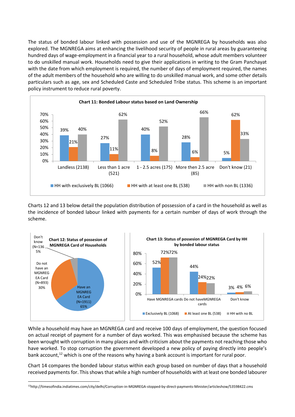The status of bonded labour linked with possession and use of the MGNREGA by households was also explored. The MGNREGA aims at enhancing the livelihood security of people in rural areas by guaranteeing hundred days of wage-employment in a financial year to a rural household, whose adult members volunteer to do unskilled manual work. Households need to give their applications in writing to the Gram Panchayat with the date from which employment is required, the number of days of employment required, the names of the adult members of the household who are willing to do unskilled manual work, and some other details particulars such as age, sex and Scheduled Caste and Scheduled Tribe status. This scheme is an important policy instrument to reduce rural poverty.



Charts 12 and 13 below detail the population distribution of possession of a card in the household as well as the incidence of bonded labour linked with payments for a certain number of days of work through the scheme.



While a household may have an MGNREGA card and receive 100 days of employment, the question focused on actual receipt of payment for a number of days worked. This was emphasised because the scheme has been wrought with corruption in many places and with criticism about the payments not reaching those who have worked. To stop corruption the government developed a new policy of paying directly into people's bank account,<sup>12</sup> which is one of the reasons why having a bank account is important for rural poor.

Chart 14 compares the bonded labour status within each group based on number of days that a household received payments for. This shows that while a high number of households with at least one bonded labourer

-

<sup>12</sup>http://timesofindia.indiatimes.com/city/delhi/Corruption-in-MGNREGA-stopped-by-direct-payments-Minister/articleshow/53598422.cms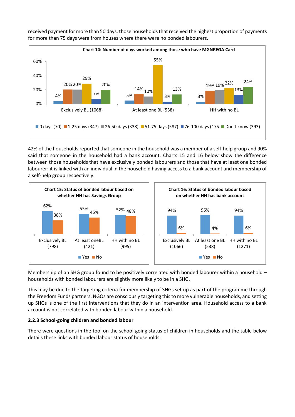

received payment for more than 50 days, those households that received the highest proportion of payments for more than 75 days were from houses where there were no bonded labourers.

42% of the households reported that someone in the household was a member of a self-help group and 90% said that someone in the household had a bank account. Charts 15 and 16 below show the difference between those households that have exclusively bonded labourers and those that have at least one bonded labourer: it is linked with an individual in the household having access to a bank account and membership of a self-help group respectively.



Membership of an SHG group found to be positively correlated with bonded labourer within a household – households with bonded labourers are slightly more likely to be in a SHG.

This may be due to the targeting criteria for membership of SHGs set up as part of the programme through the Freedom Funds partners. NGOs are consciously targeting this to more vulnerable households, and setting up SHGs is one of the first interventions that they do in an intervention area. Household access to a bank account is not correlated with bonded labour within a household.

# **2.2.3 School-going children and bonded labour**

There were questions in the tool on the school-going status of children in households and the table below details these links with bonded labour status of households: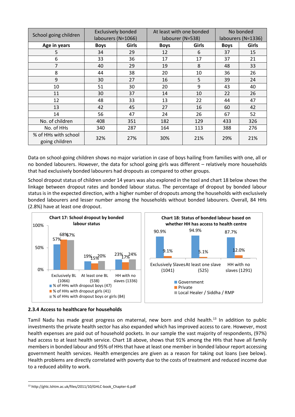| School going children                  | <b>Exclusively bonded</b><br>labourers (N=1066) |       | At least with one bonded<br>labourer (N=538) |              | No bonded<br>labourers (N=1336) |       |
|----------------------------------------|-------------------------------------------------|-------|----------------------------------------------|--------------|---------------------------------|-------|
| Age in years                           | <b>Boys</b>                                     | Girls |                                              | <b>Girls</b> | <b>Boys</b>                     | Girls |
|                                        |                                                 |       | <b>Boys</b>                                  |              |                                 |       |
| 5                                      | 34                                              | 29    | 12                                           | 6            | 37                              | 15    |
| 6                                      | 33                                              | 36    | 17                                           | 17           | 37                              | 21    |
| 7                                      | 40                                              | 29    | 19                                           | 8            | 48                              | 33    |
| 8                                      | 44                                              | 38    | 20                                           | 10           | 36                              | 26    |
| 9                                      | 30                                              | 27    | 16                                           | 5            | 39                              | 24    |
| 10                                     | 51                                              | 30    | 20                                           | 9            | 43                              | 40    |
| 11                                     | 30                                              | 37    | 14                                           | 10           | 22                              | 26    |
| 12                                     | 48                                              | 33    | 13                                           | 22           | 44                              | 47    |
| 13                                     | 42                                              | 45    | 27                                           | 16           | 60                              | 42    |
| 14                                     | 56                                              | 47    | 24                                           | 26           | 67                              | 52    |
| No. of children                        | 408                                             | 351   | 182                                          | 129          | 433                             | 326   |
| No. of HHs                             | 340                                             | 287   | 164                                          | 113          | 388                             | 276   |
| % of HHs with school<br>going children | 32%                                             | 27%   | 30%                                          | 21%          | 29%                             | 21%   |

Data on school-going children shows no major variation in case of boys hailing from families with one, all or no bonded labourers. However, the data for school going girls was different – relatively more households that had exclusively bonded labourers had dropouts as compared to other groups.

School dropout status of children under 14 years was also explored in the tool and chart 18 below shows the linkage between dropout rates and bonded labour status. The percentage of dropout by bonded labour status is in the expected direction, with a higher number of dropouts among the households with exclusively bonded labourers and lesser number among the households without bonded labourers. Overall, 84 HHs (2.8%) have at least one dropout.



#### **2.3.4 Access to healthcare for households**

Tamil Nadu has made great progress on maternal, new born and child health.<sup>13</sup> In addition to public investments the private health sector has also expanded which has improved access to care. However, most health expenses are paid out of household pockets. In our sample the vast majority of respondents, (97%) had access to at least health service. Chart 18 above, shows that 91% among the HHs that have all family members in bonded labour and 95% of HHs that have at least one member in bonded labour report accessing government health services. Health emergencies are given as a reason for taking out loans (see below). Health problems are directly correlated with poverty due to the costs of treatment and reduced income due to a reduced ability to work.

-

<sup>13</sup> http://ghlc.lshtm.ac.uk/files/2011/10/GHLC-book\_Chapter-6.pdf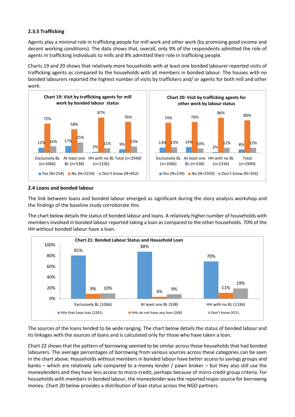## **2.3.5 Trafficking**

Agents play a minimal role in trafficking people for mill work and other work (by promising good income and decent working conditions). The data shows that, overall, only 9% of the respondents admitted the role of agents in trafficking individuals to mills and 8% admitted their role in trafficking people.

Charts 19 and 20 shows that relatively more households with at least one bonded labourer reported visits of trafficking agents as compared to the households with all members in bonded labour. The houses with no bonded labourers reported the highest number of visits by traffickers and/ or agents for both mill and other work.



#### **2.4 Loans and bonded labour**

The link between loans and bonded labour emerged as significant during the story analysis workshop and the findings of the baseline study corroborate this.

The chart below details the status of bonded labour and loans. A relatively higher number of households with members involved in bonded labour reported taking a loan as compared to the other households. 70% of the HH without bonded labour have a loan.



The sources of the loans tended to be wide ranging. The chart below details the status of bonded labour and its linkages with the sources of loans and is calculated only for those who have taken a loan.

Chart 22 shows that the pattern of borrowing seemed to be similar across those households that had bonded labourers. The average percentages of borrowing from various sources across these categories can be seen in the chart above. Households without members in bonded labour have better access to savings groups and banks – which are relatively safe compared to a money lender / pawn broker – but they also still use the moneylenders and they have less access to micro-credit, perhaps because of micro-credit group criteria. For households with members in bonded labour, the moneylender was the reported major source for borrowing money. Chart 20 below provides a distribution of loan status across the NGO partners.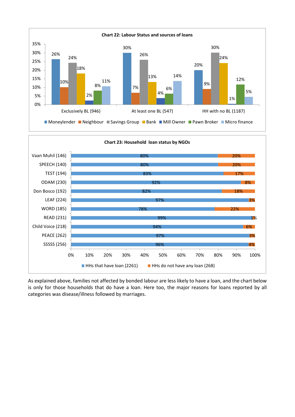



As explained above, families not affected by bonded labour are less likely to have a loan, and the chart below is only for those households that do have a loan. Here too, the major reasons for loans reported by all categories was disease/illness followed by marriages.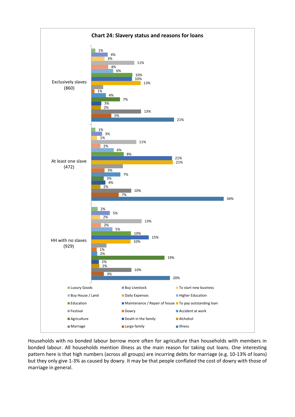

Households with no bonded labour borrow more often for agriculture than households with members in bonded labour. All households mention illness as the main reason for taking out loans. One interesting pattern here is that high numbers (across all groups) are incurring debts for marriage (e.g. 10-13% of loans) but they only give 1-3% as caused by dowry. It may be that people conflated the cost of dowry with those of marriage in general.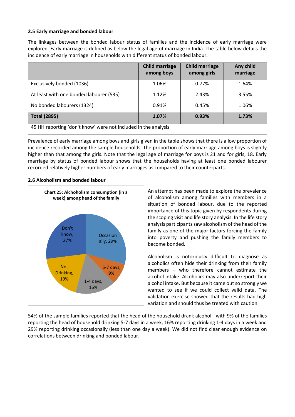#### **2.5 Early marriage and bonded labour**

The linkages between the bonded labour status of families and the incidence of early marriage were explored. Early marriage is defined as below the legal age of marriage in India. The table below details the incidence of early marriage in households with different status of bonded labour.

|                                                                | <b>Child marriage</b><br>among boys | <b>Child marriage</b><br>among girls | Any child<br>marriage |
|----------------------------------------------------------------|-------------------------------------|--------------------------------------|-----------------------|
| Exclusively bonded (1036)                                      | 1.06%                               | 0.77%                                | 1.64%                 |
| At least with one bonded labourer (535)                        | 1.12%                               | 2.43%                                | 3.55%                 |
| No bonded labourers (1324)                                     | 0.91%                               | 0.45%                                | 1.06%                 |
| <b>Total (2895)</b>                                            | 1.07%                               | 0.93%                                | 1.73%                 |
| 45 HH reporting 'don't know' were not included in the analysis |                                     |                                      |                       |

Prevalence of early marriage among boys and girls given in the table shows that there is a low proportion of incidence recorded among the sample households. The proportion of early marriage among boys is slightly higher than that among the girls. Note that the legal age of marriage for boys is 21 and for girls, 18. Early marriage by status of bonded labour shows that the households having at least one bonded labourer recorded relatively higher numbers of early marriages as compared to their counterparts.

#### **2.6 Alcoholism and bonded labour**



An attempt has been made to explore the prevalence of alcoholism among families with members in a situation of bonded labour, due to the reported importance of this topic given by respondents during the scoping visit and life story analysis. In the life story analysis participants saw alcoholism of the head of the family as one of the major factors forcing the family into poverty and pushing the family members to become bonded.

Alcoholism is notoriously difficult to diagnose as alcoholics often hide their drinking from their family members – who therefore cannot estimate the alcohol intake. Alcoholics may also underreport their alcohol intake. But because it came out so strongly we wanted to see if we could collect valid data. The validation exercise showed that the results had high variation and should thus be treated with caution.

54% of the sample families reported that the head of the household drank alcohol - with 9% of the families reporting the head of household drinking 5-7 days in a week, 16% reporting drinking 1-4 days in a week and 29% reporting drinking occasionally (less than one day a week). We did not find clear enough evidence on correlations between drinking and bonded labour.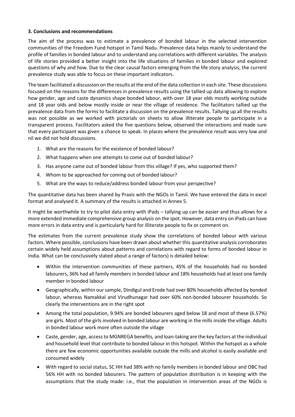#### **3. Conclusions and recommendations**

The aim of the process was to estimate a prevalence of bonded labour in the selected intervention communities of the Freedom Fund hotspot in Tamil Nadu. Prevalence data helps mainly to understand the profile of families in bonded labour and to understand any correlations with different variables. The analysis of life stories provided a better insight into the life situations of families in bonded labour and explored questions of why and how. Due to the clear causal factors emerging from the life story analysis, the current prevalence study was able to focus on these important indicators.

The team facilitated a discussion on the results at the end of the data collection in each site. These discussions focused on the reasons for the differences in prevalence results using the tallied up data allowing to explore how gender, age and caste dynamics shape bonded labour, with over 18 year olds mostly working outside and 18 year olds and below mostly inside or near the village of residence. The facilitators tallied up the prevalence data from the forms to facilitate a discussion on the prevalence results. Tallying up all the results was not possible as we worked with pictorials on sheets to allow illiterate people to participate in a transparent process. Facilitators asked the five questions below, observed the interactions and made sure that every participant was given a chance to speak. In places where the prevalence result was very low and nil we did not hold discussions.

- 1. What are the reasons for the existence of bonded labour?
- 2. What happens when one attempts to come out of bonded labour?
- 3. Has anyone came out of bonded labour from this village? If yes, who supported them?
- 4. Whom to be approached for coming out of bonded labour?
- 5. What are the ways to reduce/address bonded labour from your perspective?

The quantitative data has been shared by Praxis with the NGOs in Tamil. We have entered the data in excel format and analysed it. A summary of the results is attached in Annex 5.

It might be worthwhile to try to pilot data entry with iPads – tallying up can be easier and thus allows for a more extended immediate comprehensive group analysis on the spot. However, data entry on iPads can have more errors in data entry and is particularly hard for illiterate people to fix or comment on.

The estimates from the current prevalence study show the correlations of bonded labour with various factors. Where possible, conclusions have been drawn about whether this quantitative analysis corroborates certain widely held assumptions about patterns and correlations with regard to forms of bonded labour in India. What can be conclusively stated about a range of factors) is detailed below:

- Within the intervention communities of these partners, 45% of the households had no bonded labourers, 36% had all family members in bonded labour and 18% households had at least one family member in bonded labour
- Geographically, within our sample, Dindigul and Erode had over 80% households affected by bonded labour, whereas Namakkal and Virudhunagar had over 60% non-bonded labourer households. So clearly the interventions are in the right spot
- Among the total population, 9.94% are bonded labourers aged below 18 and most of these (6.57%) are girls. Most of the girls involved in bonded labour are working in the mills inside the village. Adults in bonded labour work more often outside the village
- Caste, gender, age, access to MGNREGA benefits, and loan-taking are the key factors at the individual and household level that contribute to bonded labour in this hotspot. Within the hotspot as a whole there are few economic opportunities available outside the mills and alcohol is easily available and consumed widely
- With regard to social status, SC HH had 38% with no family members in bonded labour and OBC had 56% HH with no bonded labourers. The pattern of population distribution is in keeping with the assumptions that the study made: i.e., that the population in intervention areas of the NGOs is